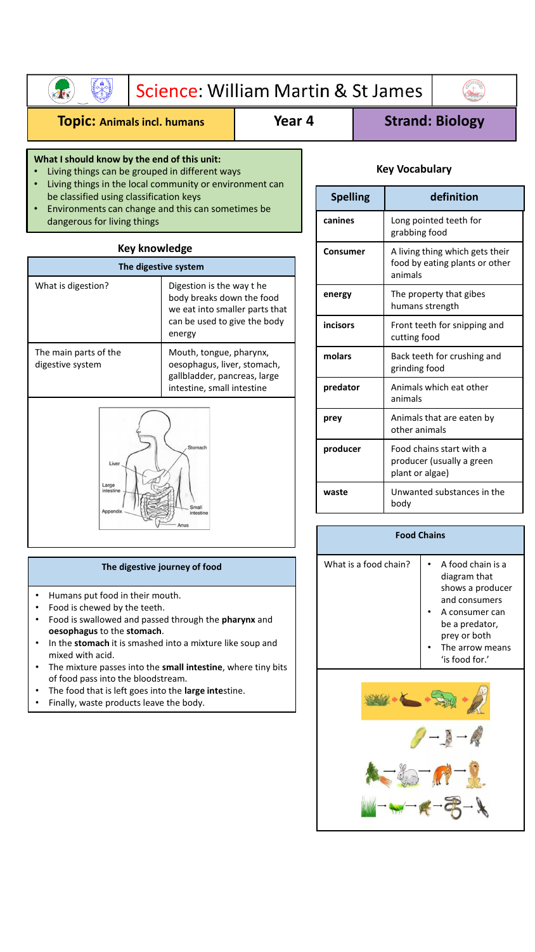|                                                                                                                                                                                                                                                                                                      | Science: William Martin & St James                                                                                   |        |                 |                        |                                              |                                                                              |  |
|------------------------------------------------------------------------------------------------------------------------------------------------------------------------------------------------------------------------------------------------------------------------------------------------------|----------------------------------------------------------------------------------------------------------------------|--------|-----------------|------------------------|----------------------------------------------|------------------------------------------------------------------------------|--|
| <b>TOPIC: Animals incl. humans</b>                                                                                                                                                                                                                                                                   |                                                                                                                      | Year 4 |                 | <b>Strand: Biology</b> |                                              |                                                                              |  |
| What I should know by the end of this unit:<br>Living things can be grouped in different ways<br>Living things in the local community or environment can<br>be classified using classification keys<br>Environments can change and this can sometimes be<br>$\bullet$<br>dangerous for living things |                                                                                                                      |        |                 | <b>Key Vocabulary</b>  |                                              |                                                                              |  |
|                                                                                                                                                                                                                                                                                                      |                                                                                                                      |        | <b>Spelling</b> |                        | definition                                   |                                                                              |  |
|                                                                                                                                                                                                                                                                                                      |                                                                                                                      |        |                 | canines                |                                              | Long pointed teeth for<br>grabbing food                                      |  |
| <b>Key knowledge</b><br>The digestive system                                                                                                                                                                                                                                                         |                                                                                                                      |        |                 | Consumer               |                                              | A living thing which gets their<br>food by eating plants or other<br>animals |  |
| What is digestion?                                                                                                                                                                                                                                                                                   | Digestion is the way the<br>body breaks down the food<br>we eat into smaller parts that                              |        |                 | energy                 |                                              | The property that gibes<br>humans strength                                   |  |
| can be used to give the body<br>energy                                                                                                                                                                                                                                                               |                                                                                                                      |        | incisors        |                        | Front teeth for snipping and<br>cutting food |                                                                              |  |
| The main parts of the<br>digestive system                                                                                                                                                                                                                                                            | Mouth, tongue, pharynx,<br>oesophagus, liver, stomach,<br>gallbladder, pancreas, large<br>intestine, small intestine |        |                 | molars                 |                                              | Back teeth for crushing and<br>grinding food                                 |  |
|                                                                                                                                                                                                                                                                                                      |                                                                                                                      |        | predator        |                        | Animals which eat other<br>animals           |                                                                              |  |
| Stomach<br>Liver<br>Large<br>intestine                                                                                                                                                                                                                                                               |                                                                                                                      |        | prey            |                        | other animals                                | Animals that are eaten by                                                    |  |
|                                                                                                                                                                                                                                                                                                      |                                                                                                                      |        | producer        |                        | plant or algae)                              | Food chains start with a<br>producer (usually a green                        |  |
|                                                                                                                                                                                                                                                                                                      |                                                                                                                      | waste  |                 |                        | Unwanted substances in the                   |                                                                              |  |

| The digestive journey of food |  |
|-------------------------------|--|

• Humans put food in their mouth.

- Food is chewed by the teeth.
- Food is swallowed and passed through the **pharynx** and **oesophagus** to the **stomach**.
- In the **stomach** it is smashed into a mixture like soup and mixed with acid.
- The mixture passes into the **small intestine**, where tiny bits of food pass into the bloodstream.
- The food that is left goes into the **large inte**stine.
- Finally, waste products leave the body.

| What is a food chain? | A food chain is a<br>diagram that<br>shows a producer<br>and consumers<br>A consumer can<br>be a predator,<br>prey or both<br>The arrow means<br>$'$ is food for. $'$ |
|-----------------------|-----------------------------------------------------------------------------------------------------------------------------------------------------------------------|
|                       |                                                                                                                                                                       |

**Food Chains**

body

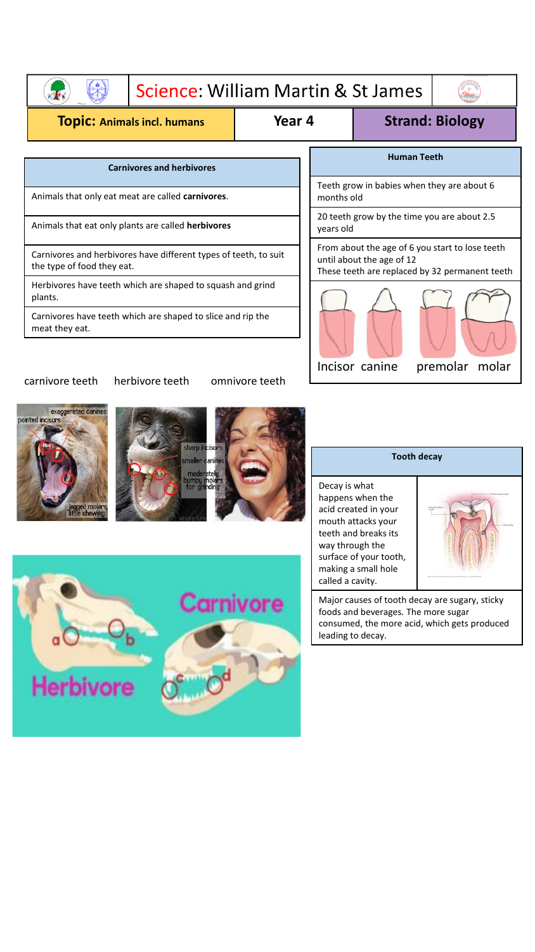|                                                                                                | Science: William Martin & St James |                                                                                                                                |                |                        |  |
|------------------------------------------------------------------------------------------------|------------------------------------|--------------------------------------------------------------------------------------------------------------------------------|----------------|------------------------|--|
| <b>TOpiC: Animals incl. humans</b>                                                             |                                    | Year 4                                                                                                                         |                | <b>Strand: Biology</b> |  |
| <b>Carnivores and herbivores</b>                                                               |                                    | <b>Human Teeth</b>                                                                                                             |                |                        |  |
| Animals that only eat meat are called carnivores.                                              |                                    | Teeth grow in babies when they are about 6<br>months old                                                                       |                |                        |  |
| Animals that eat only plants are called herbivores                                             |                                    | 20 teeth grow by the time you are about 2.5<br>years old                                                                       |                |                        |  |
| Carnivores and herbivores have different types of teeth, to suit<br>the type of food they eat. |                                    | From about the age of 6 you start to lose teeth<br>until about the age of 12<br>These teeth are replaced by 32 permanent teeth |                |                        |  |
| Herbivores have teeth which are shaped to squash and grind<br>plants.                          |                                    |                                                                                                                                |                |                        |  |
| Carnivores have teeth which are shaped to slice and rip the<br>meat they eat.                  |                                    |                                                                                                                                |                |                        |  |
| carnivore teeth<br>herbivore teeth                                                             | omnivore teeth                     |                                                                                                                                | Incisor canine | premolar<br>molar      |  |









| Decay is what          |
|------------------------|
| happens when the       |
| acid created in your   |
| mouth attacks your     |
| teeth and breaks its   |
| way through the        |
| surface of your tooth, |
| making a small hole    |
| called a cavity.       |

Major causes of tooth decay are sugary, sticky foods and beverages. The more sugar consumed, the more acid, which gets produced leading to decay.

**Tooth decay**